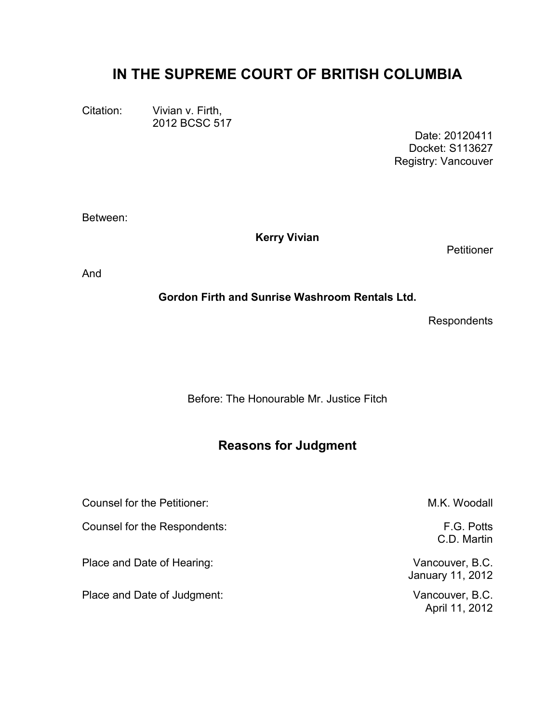# **IN THE SUPREME COURT OF BRITISH COLUMBIA**

Citation: Vivian v. Firth, 2012 BCSC 517

> Date: 20120411 Docket: S113627 Registry: Vancouver

Between:

**Kerry Vivian**

**Petitioner** 

And

**Gordon Firth and Sunrise Washroom Rentals Ltd.**

**Respondents** 

Before: The Honourable Mr. Justice Fitch

# **Reasons for Judgment**

Counsel for the Petitioner:  $M.K.$  Woodall Counsel for the Respondents: F.G. Potts Place and Date of Hearing: Vancouver, B.C. January 11, 2012 Place and Date of Judgment: Vancouver, B.C.

C.D. Martin

April 11, 2012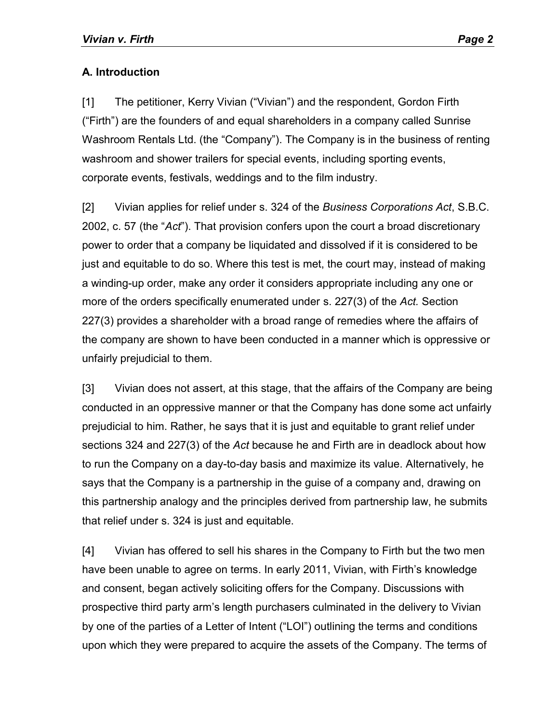## **A. Introduction**

[1] The petitioner, Kerry Vivian ("Vivian") and the respondent, Gordon Firth ("Firth") are the founders of and equal shareholders in a company called Sunrise Washroom Rentals Ltd. (the "Company"). The Company is in the business of renting washroom and shower trailers for special events, including sporting events, corporate events, festivals, weddings and to the film industry.

[2] Vivian applies for relief under s. 324 of the *Business Corporations Act*, S.B.C. 2002, c. 57 (the "*Act*"). That provision confers upon the court a broad discretionary power to order that a company be liquidated and dissolved if it is considered to be just and equitable to do so. Where this test is met, the court may, instead of making a winding-up order, make any order it considers appropriate including any one or more of the orders specifically enumerated under s. 227(3) of the *Act.* Section 227(3) provides a shareholder with a broad range of remedies where the affairs of the company are shown to have been conducted in a manner which is oppressive or unfairly prejudicial to them.

[3] Vivian does not assert, at this stage, that the affairs of the Company are being conducted in an oppressive manner or that the Company has done some act unfairly prejudicial to him. Rather, he says that it is just and equitable to grant relief under sections 324 and 227(3) of the *Act* because he and Firth are in deadlock about how to run the Company on a day-to-day basis and maximize its value. Alternatively, he says that the Company is a partnership in the guise of a company and, drawing on this partnership analogy and the principles derived from partnership law, he submits that relief under s. 324 is just and equitable.

[4] Vivian has offered to sell his shares in the Company to Firth but the two men have been unable to agree on terms. In early 2011, Vivian, with Firth's knowledge and consent, began actively soliciting offers for the Company. Discussions with prospective third party arm's length purchasers culminated in the delivery to Vivian by one of the parties of a Letter of Intent ("LOI") outlining the terms and conditions upon which they were prepared to acquire the assets of the Company. The terms of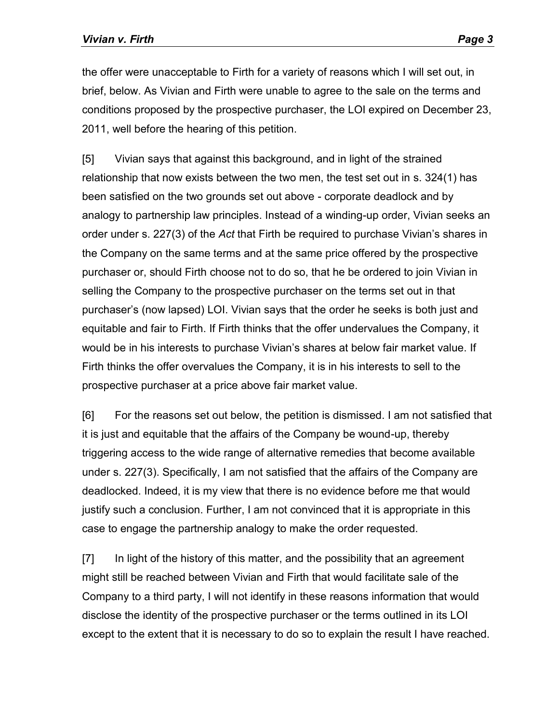the offer were unacceptable to Firth for a variety of reasons which I will set out, in brief, below. As Vivian and Firth were unable to agree to the sale on the terms and conditions proposed by the prospective purchaser, the LOI expired on December 23, 2011, well before the hearing of this petition.

[5] Vivian says that against this background, and in light of the strained relationship that now exists between the two men, the test set out in s. 324(1) has been satisfied on the two grounds set out above - corporate deadlock and by analogy to partnership law principles. Instead of a winding-up order, Vivian seeks an order under s. 227(3) of the *Act* that Firth be required to purchase Vivian's shares in the Company on the same terms and at the same price offered by the prospective purchaser or, should Firth choose not to do so, that he be ordered to join Vivian in selling the Company to the prospective purchaser on the terms set out in that purchaser's (now lapsed) LOI. Vivian says that the order he seeks is both just and equitable and fair to Firth. If Firth thinks that the offer undervalues the Company, it would be in his interests to purchase Vivian's shares at below fair market value. If Firth thinks the offer overvalues the Company, it is in his interests to sell to the prospective purchaser at a price above fair market value.

[6] For the reasons set out below, the petition is dismissed. I am not satisfied that it is just and equitable that the affairs of the Company be wound-up, thereby triggering access to the wide range of alternative remedies that become available under s. 227(3). Specifically, I am not satisfied that the affairs of the Company are deadlocked. Indeed, it is my view that there is no evidence before me that would justify such a conclusion. Further, I am not convinced that it is appropriate in this case to engage the partnership analogy to make the order requested.

[7] In light of the history of this matter, and the possibility that an agreement might still be reached between Vivian and Firth that would facilitate sale of the Company to a third party, I will not identify in these reasons information that would disclose the identity of the prospective purchaser or the terms outlined in its LOI except to the extent that it is necessary to do so to explain the result I have reached.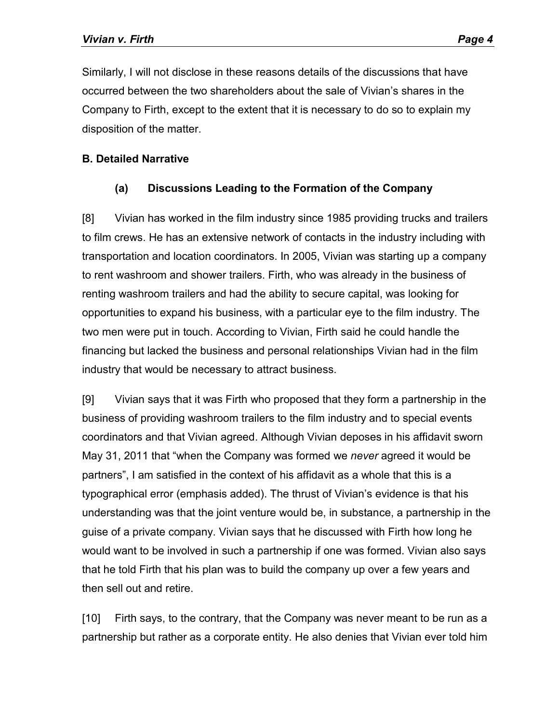Similarly, I will not disclose in these reasons details of the discussions that have occurred between the two shareholders about the sale of Vivian's shares in the Company to Firth, except to the extent that it is necessary to do so to explain my disposition of the matter.

#### **B. Detailed Narrative**

## **(a) Discussions Leading to the Formation of the Company**

[8] Vivian has worked in the film industry since 1985 providing trucks and trailers to film crews. He has an extensive network of contacts in the industry including with transportation and location coordinators. In 2005, Vivian was starting up a company to rent washroom and shower trailers. Firth, who was already in the business of renting washroom trailers and had the ability to secure capital, was looking for opportunities to expand his business, with a particular eye to the film industry. The two men were put in touch. According to Vivian, Firth said he could handle the financing but lacked the business and personal relationships Vivian had in the film industry that would be necessary to attract business.

[9] Vivian says that it was Firth who proposed that they form a partnership in the business of providing washroom trailers to the film industry and to special events coordinators and that Vivian agreed. Although Vivian deposes in his affidavit sworn May 31, 2011 that "when the Company was formed we *never* agreed it would be partners", I am satisfied in the context of his affidavit as a whole that this is a typographical error (emphasis added). The thrust of Vivian's evidence is that his understanding was that the joint venture would be, in substance, a partnership in the guise of a private company. Vivian says that he discussed with Firth how long he would want to be involved in such a partnership if one was formed. Vivian also says that he told Firth that his plan was to build the company up over a few years and then sell out and retire.

[10] Firth says, to the contrary, that the Company was never meant to be run as a partnership but rather as a corporate entity. He also denies that Vivian ever told him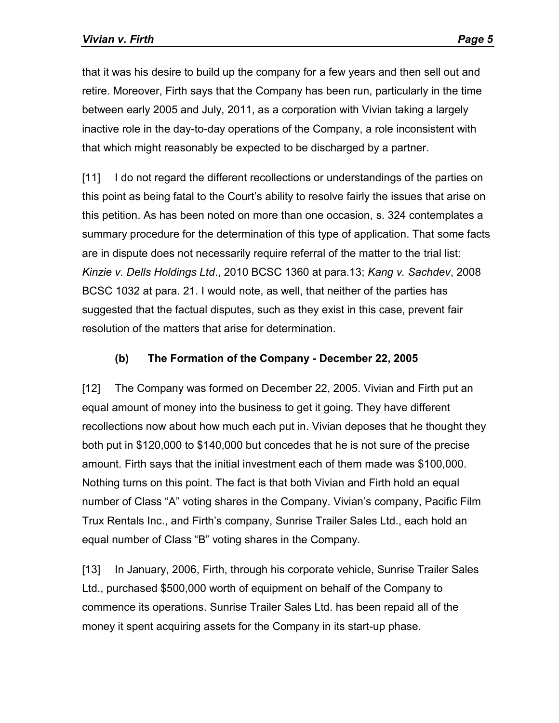that it was his desire to build up the company for a few years and then sell out and retire. Moreover, Firth says that the Company has been run, particularly in the time between early 2005 and July, 2011, as a corporation with Vivian taking a largely inactive role in the day-to-day operations of the Company, a role inconsistent with that which might reasonably be expected to be discharged by a partner.

[11] I do not regard the different recollections or understandings of the parties on this point as being fatal to the Court's ability to resolve fairly the issues that arise on this petition. As has been noted on more than one occasion, s. 324 contemplates a summary procedure for the determination of this type of application. That some facts are in dispute does not necessarily require referral of the matter to the trial list: *Kinzie v. Dells Holdings Ltd*., 2010 BCSC 1360 at para.13; *Kang v. Sachdev*, 2008 BCSC 1032 at para. 21. I would note, as well, that neither of the parties has suggested that the factual disputes, such as they exist in this case, prevent fair resolution of the matters that arise for determination.

#### **(b) The Formation of the Company - December 22, 2005**

[12] The Company was formed on December 22, 2005. Vivian and Firth put an equal amount of money into the business to get it going. They have different recollections now about how much each put in. Vivian deposes that he thought they both put in \$120,000 to \$140,000 but concedes that he is not sure of the precise amount. Firth says that the initial investment each of them made was \$100,000. Nothing turns on this point. The fact is that both Vivian and Firth hold an equal number of Class "A" voting shares in the Company. Vivian's company, Pacific Film Trux Rentals Inc., and Firth's company, Sunrise Trailer Sales Ltd., each hold an equal number of Class "B" voting shares in the Company.

[13] In January, 2006, Firth, through his corporate vehicle, Sunrise Trailer Sales Ltd., purchased \$500,000 worth of equipment on behalf of the Company to commence its operations. Sunrise Trailer Sales Ltd. has been repaid all of the money it spent acquiring assets for the Company in its start-up phase.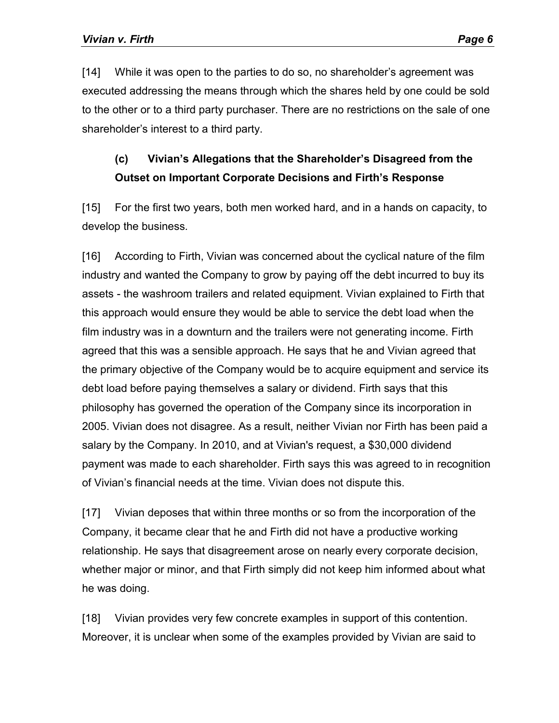[14] While it was open to the parties to do so, no shareholder's agreement was executed addressing the means through which the shares held by one could be sold to the other or to a third party purchaser. There are no restrictions on the sale of one shareholder's interest to a third party.

# **(c) Vivian's Allegations that the Shareholder's Disagreed from the Outset on Important Corporate Decisions and Firth's Response**

[15] For the first two years, both men worked hard, and in a hands on capacity, to develop the business.

[16] According to Firth, Vivian was concerned about the cyclical nature of the film industry and wanted the Company to grow by paying off the debt incurred to buy its assets - the washroom trailers and related equipment. Vivian explained to Firth that this approach would ensure they would be able to service the debt load when the film industry was in a downturn and the trailers were not generating income. Firth agreed that this was a sensible approach. He says that he and Vivian agreed that the primary objective of the Company would be to acquire equipment and service its debt load before paying themselves a salary or dividend. Firth says that this philosophy has governed the operation of the Company since its incorporation in 2005. Vivian does not disagree. As a result, neither Vivian nor Firth has been paid a salary by the Company. In 2010, and at Vivian's request, a \$30,000 dividend payment was made to each shareholder. Firth says this was agreed to in recognition of Vivian's financial needs at the time. Vivian does not dispute this.

[17] Vivian deposes that within three months or so from the incorporation of the Company, it became clear that he and Firth did not have a productive working relationship. He says that disagreement arose on nearly every corporate decision, whether major or minor, and that Firth simply did not keep him informed about what he was doing.

[18] Vivian provides very few concrete examples in support of this contention. Moreover, it is unclear when some of the examples provided by Vivian are said to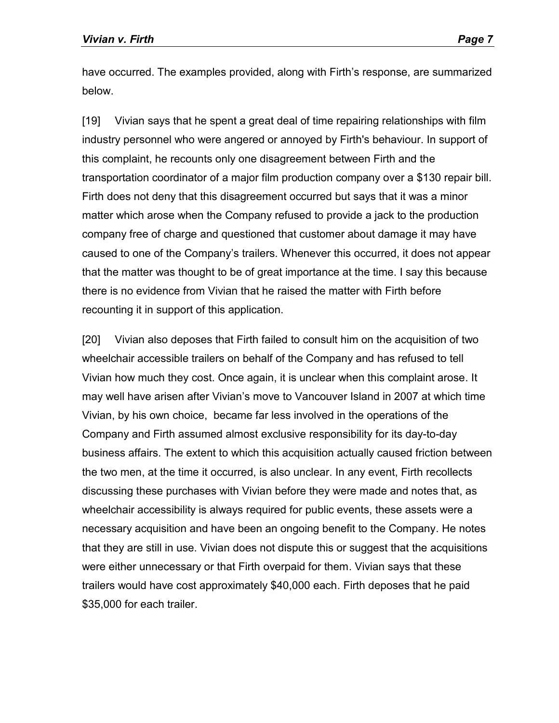have occurred. The examples provided, along with Firth's response, are summarized below.

[19] Vivian says that he spent a great deal of time repairing relationships with film industry personnel who were angered or annoyed by Firth's behaviour. In support of this complaint, he recounts only one disagreement between Firth and the transportation coordinator of a major film production company over a \$130 repair bill. Firth does not deny that this disagreement occurred but says that it was a minor matter which arose when the Company refused to provide a jack to the production company free of charge and questioned that customer about damage it may have caused to one of the Company's trailers. Whenever this occurred, it does not appear that the matter was thought to be of great importance at the time. I say this because there is no evidence from Vivian that he raised the matter with Firth before recounting it in support of this application.

[20] Vivian also deposes that Firth failed to consult him on the acquisition of two wheelchair accessible trailers on behalf of the Company and has refused to tell Vivian how much they cost. Once again, it is unclear when this complaint arose. It may well have arisen after Vivian's move to Vancouver Island in 2007 at which time Vivian, by his own choice, became far less involved in the operations of the Company and Firth assumed almost exclusive responsibility for its day-to-day business affairs. The extent to which this acquisition actually caused friction between the two men, at the time it occurred, is also unclear. In any event, Firth recollects discussing these purchases with Vivian before they were made and notes that, as wheelchair accessibility is always required for public events, these assets were a necessary acquisition and have been an ongoing benefit to the Company. He notes that they are still in use. Vivian does not dispute this or suggest that the acquisitions were either unnecessary or that Firth overpaid for them. Vivian says that these trailers would have cost approximately \$40,000 each. Firth deposes that he paid \$35,000 for each trailer.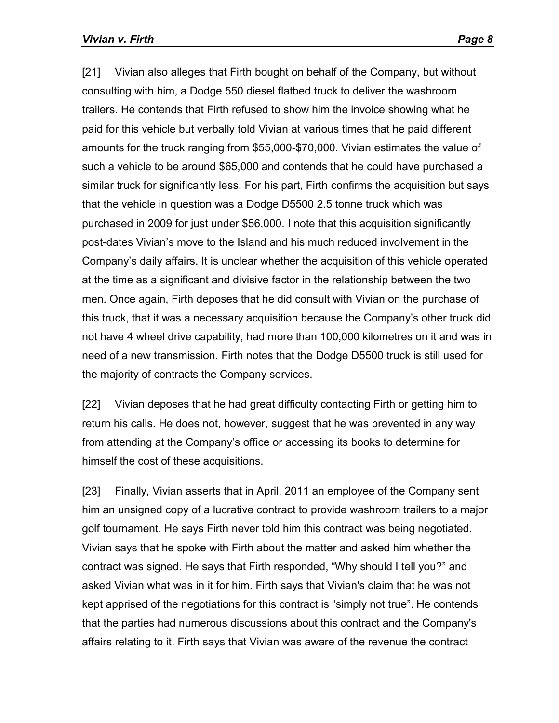[21] Vivian also alleges that Firth bought on behalf of the Company, but without consulting with him, a Dodge 550 diesel flatbed truck to deliver the washroom trailers. He contends that Firth refused to show him the invoice showing what he paid for this vehicle but verbally told Vivian at various times that he paid different amounts for the truck ranging from \$55,000-\$70,000. Vivian estimates the value of such a vehicle to be around \$65,000 and contends that he could have purchased a similar truck for significantly less. For his part, Firth confirms the acquisition but says that the vehicle in question was a Dodge D5500 2.5 tonne truck which was purchased in 2009 for just under \$56,000. I note that this acquisition significantly post-dates Vivian's move to the Island and his much reduced involvement in the Company's daily affairs. It is unclear whether the acquisition of this vehicle operated at the time as a significant and divisive factor in the relationship between the two men. Once again, Firth deposes that he did consult with Vivian on the purchase of this truck, that it was a necessary acquisition because the Company's other truck did not have 4 wheel drive capability, had more than 100,000 kilometres on it and was in need of a new transmission. Firth notes that the Dodge D5500 truck is still used for the majority of contracts the Company services.

[22] Vivian deposes that he had great difficulty contacting Firth or getting him to return his calls. He does not, however, suggest that he was prevented in any way from attending at the Company's office or accessing its books to determine for himself the cost of these acquisitions.

[23] Finally, Vivian asserts that in April, 2011 an employee of the Company sent him an unsigned copy of a lucrative contract to provide washroom trailers to a major golf tournament. He says Firth never told him this contract was being negotiated. Vivian says that he spoke with Firth about the matter and asked him whether the contract was signed. He says that Firth responded, "Why should I tell you?" and asked Vivian what was in it for him. Firth says that Vivian's claim that he was not kept apprised of the negotiations for this contract is "simply not true". He contends that the parties had numerous discussions about this contract and the Company's affairs relating to it. Firth says that Vivian was aware of the revenue the contract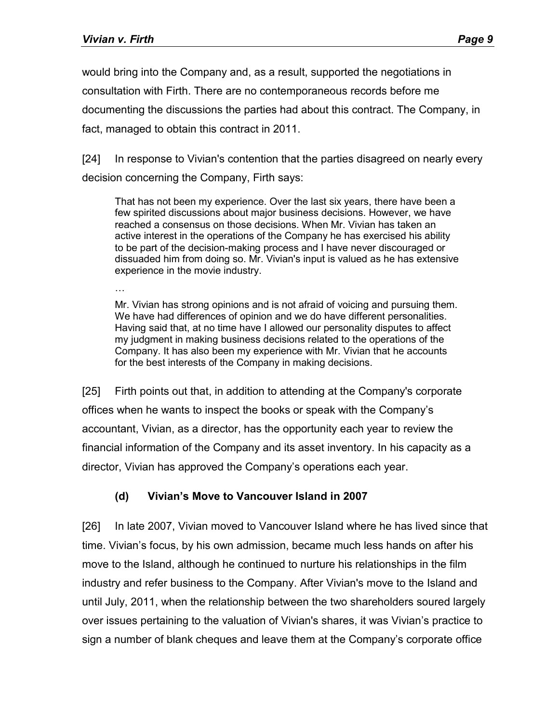would bring into the Company and, as a result, supported the negotiations in consultation with Firth. There are no contemporaneous records before me documenting the discussions the parties had about this contract. The Company, in fact, managed to obtain this contract in 2011.

[24] In response to Vivian's contention that the parties disagreed on nearly every decision concerning the Company, Firth says:

That has not been my experience. Over the last six years, there have been a few spirited discussions about major business decisions. However, we have reached a consensus on those decisions. When Mr. Vivian has taken an active interest in the operations of the Company he has exercised his ability to be part of the decision-making process and I have never discouraged or dissuaded him from doing so. Mr. Vivian's input is valued as he has extensive experience in the movie industry.

…

Mr. Vivian has strong opinions and is not afraid of voicing and pursuing them. We have had differences of opinion and we do have different personalities. Having said that, at no time have I allowed our personality disputes to affect my judgment in making business decisions related to the operations of the Company. It has also been my experience with Mr. Vivian that he accounts for the best interests of the Company in making decisions.

[25] Firth points out that, in addition to attending at the Company's corporate offices when he wants to inspect the books or speak with the Company's accountant, Vivian, as a director, has the opportunity each year to review the financial information of the Company and its asset inventory. In his capacity as a director, Vivian has approved the Company's operations each year.

## **(d) Vivian's Move to Vancouver Island in 2007**

[26] In late 2007, Vivian moved to Vancouver Island where he has lived since that time. Vivian's focus, by his own admission, became much less hands on after his move to the Island, although he continued to nurture his relationships in the film industry and refer business to the Company. After Vivian's move to the Island and until July, 2011, when the relationship between the two shareholders soured largely over issues pertaining to the valuation of Vivian's shares, it was Vivian's practice to sign a number of blank cheques and leave them at the Company's corporate office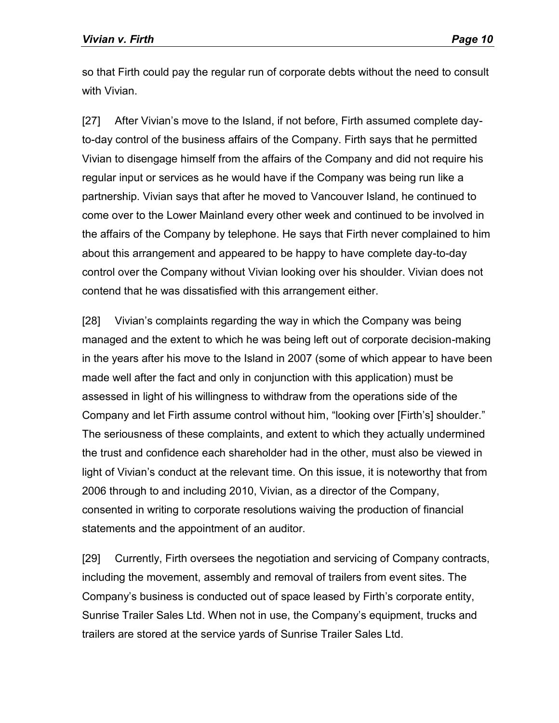so that Firth could pay the regular run of corporate debts without the need to consult with Vivian.

[27] After Vivian's move to the Island, if not before, Firth assumed complete dayto-day control of the business affairs of the Company. Firth says that he permitted Vivian to disengage himself from the affairs of the Company and did not require his regular input or services as he would have if the Company was being run like a partnership. Vivian says that after he moved to Vancouver Island, he continued to come over to the Lower Mainland every other week and continued to be involved in the affairs of the Company by telephone. He says that Firth never complained to him about this arrangement and appeared to be happy to have complete day-to-day control over the Company without Vivian looking over his shoulder. Vivian does not contend that he was dissatisfied with this arrangement either.

[28] Vivian's complaints regarding the way in which the Company was being managed and the extent to which he was being left out of corporate decision-making in the years after his move to the Island in 2007 (some of which appear to have been made well after the fact and only in conjunction with this application) must be assessed in light of his willingness to withdraw from the operations side of the Company and let Firth assume control without him, "looking over [Firth's] shoulder." The seriousness of these complaints, and extent to which they actually undermined the trust and confidence each shareholder had in the other, must also be viewed in light of Vivian's conduct at the relevant time. On this issue, it is noteworthy that from 2006 through to and including 2010, Vivian, as a director of the Company, consented in writing to corporate resolutions waiving the production of financial statements and the appointment of an auditor.

[29] Currently, Firth oversees the negotiation and servicing of Company contracts, including the movement, assembly and removal of trailers from event sites. The Company's business is conducted out of space leased by Firth's corporate entity, Sunrise Trailer Sales Ltd. When not in use, the Company's equipment, trucks and trailers are stored at the service yards of Sunrise Trailer Sales Ltd.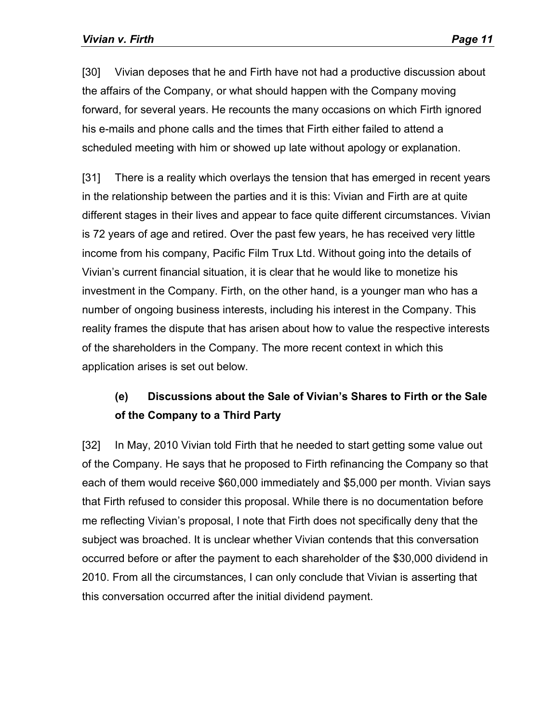[30] Vivian deposes that he and Firth have not had a productive discussion about the affairs of the Company, or what should happen with the Company moving forward, for several years. He recounts the many occasions on which Firth ignored his e-mails and phone calls and the times that Firth either failed to attend a scheduled meeting with him or showed up late without apology or explanation.

[31] There is a reality which overlays the tension that has emerged in recent years in the relationship between the parties and it is this: Vivian and Firth are at quite different stages in their lives and appear to face quite different circumstances. Vivian is 72 years of age and retired. Over the past few years, he has received very little income from his company, Pacific Film Trux Ltd. Without going into the details of Vivian's current financial situation, it is clear that he would like to monetize his investment in the Company. Firth, on the other hand, is a younger man who has a number of ongoing business interests, including his interest in the Company. This reality frames the dispute that has arisen about how to value the respective interests of the shareholders in the Company. The more recent context in which this application arises is set out below.

# **(e) Discussions about the Sale of Vivian's Shares to Firth or the Sale of the Company to a Third Party**

[32] In May, 2010 Vivian told Firth that he needed to start getting some value out of the Company. He says that he proposed to Firth refinancing the Company so that each of them would receive \$60,000 immediately and \$5,000 per month. Vivian says that Firth refused to consider this proposal. While there is no documentation before me reflecting Vivian's proposal, I note that Firth does not specifically deny that the subject was broached. It is unclear whether Vivian contends that this conversation occurred before or after the payment to each shareholder of the \$30,000 dividend in 2010. From all the circumstances, I can only conclude that Vivian is asserting that this conversation occurred after the initial dividend payment.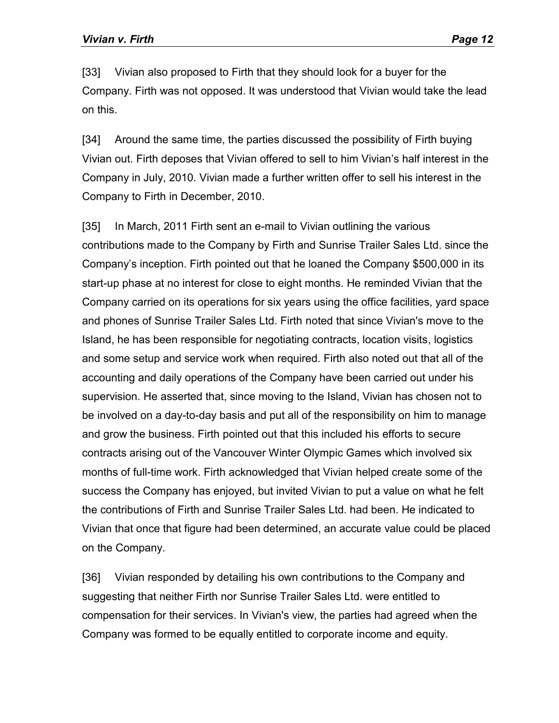[33] Vivian also proposed to Firth that they should look for a buyer for the Company. Firth was not opposed. It was understood that Vivian would take the lead on this.

[34] Around the same time, the parties discussed the possibility of Firth buying Vivian out. Firth deposes that Vivian offered to sell to him Vivian's half interest in the Company in July, 2010. Vivian made a further written offer to sell his interest in the Company to Firth in December, 2010.

[35] In March, 2011 Firth sent an e-mail to Vivian outlining the various contributions made to the Company by Firth and Sunrise Trailer Sales Ltd. since the Company's inception. Firth pointed out that he loaned the Company \$500,000 in its start-up phase at no interest for close to eight months. He reminded Vivian that the Company carried on its operations for six years using the office facilities, yard space and phones of Sunrise Trailer Sales Ltd. Firth noted that since Vivian's move to the Island, he has been responsible for negotiating contracts, location visits, logistics and some setup and service work when required. Firth also noted out that all of the accounting and daily operations of the Company have been carried out under his supervision. He asserted that, since moving to the Island, Vivian has chosen not to be involved on a day-to-day basis and put all of the responsibility on him to manage and grow the business. Firth pointed out that this included his efforts to secure contracts arising out of the Vancouver Winter Olympic Games which involved six months of full-time work. Firth acknowledged that Vivian helped create some of the success the Company has enjoyed, but invited Vivian to put a value on what he felt the contributions of Firth and Sunrise Trailer Sales Ltd. had been. He indicated to Vivian that once that figure had been determined, an accurate value could be placed on the Company.

[36] Vivian responded by detailing his own contributions to the Company and suggesting that neither Firth nor Sunrise Trailer Sales Ltd. were entitled to compensation for their services. In Vivian's view, the parties had agreed when the Company was formed to be equally entitled to corporate income and equity.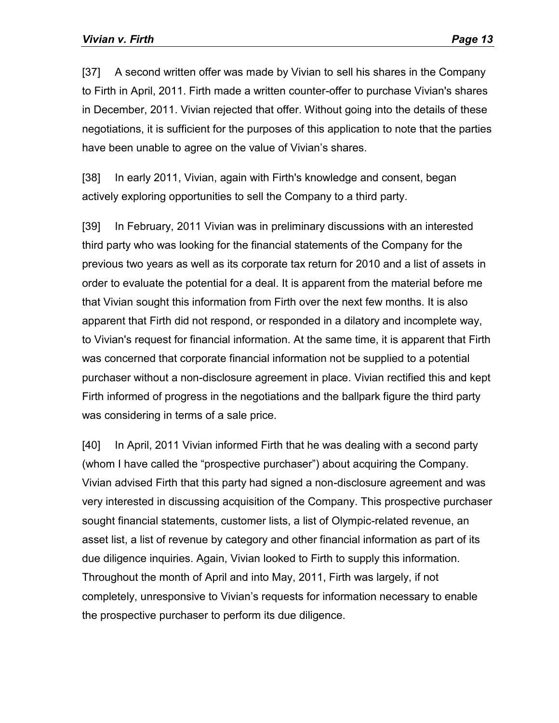[37] A second written offer was made by Vivian to sell his shares in the Company to Firth in April, 2011. Firth made a written counter-offer to purchase Vivian's shares in December, 2011. Vivian rejected that offer. Without going into the details of these negotiations, it is sufficient for the purposes of this application to note that the parties have been unable to agree on the value of Vivian's shares.

[38] In early 2011, Vivian, again with Firth's knowledge and consent, began actively exploring opportunities to sell the Company to a third party.

[39] In February, 2011 Vivian was in preliminary discussions with an interested third party who was looking for the financial statements of the Company for the previous two years as well as its corporate tax return for 2010 and a list of assets in order to evaluate the potential for a deal. It is apparent from the material before me that Vivian sought this information from Firth over the next few months. It is also apparent that Firth did not respond, or responded in a dilatory and incomplete way, to Vivian's request for financial information. At the same time, it is apparent that Firth was concerned that corporate financial information not be supplied to a potential purchaser without a non-disclosure agreement in place. Vivian rectified this and kept Firth informed of progress in the negotiations and the ballpark figure the third party was considering in terms of a sale price.

[40] In April, 2011 Vivian informed Firth that he was dealing with a second party (whom I have called the "prospective purchaser") about acquiring the Company. Vivian advised Firth that this party had signed a non-disclosure agreement and was very interested in discussing acquisition of the Company. This prospective purchaser sought financial statements, customer lists, a list of Olympic-related revenue, an asset list, a list of revenue by category and other financial information as part of its due diligence inquiries. Again, Vivian looked to Firth to supply this information. Throughout the month of April and into May, 2011, Firth was largely, if not completely, unresponsive to Vivian's requests for information necessary to enable the prospective purchaser to perform its due diligence.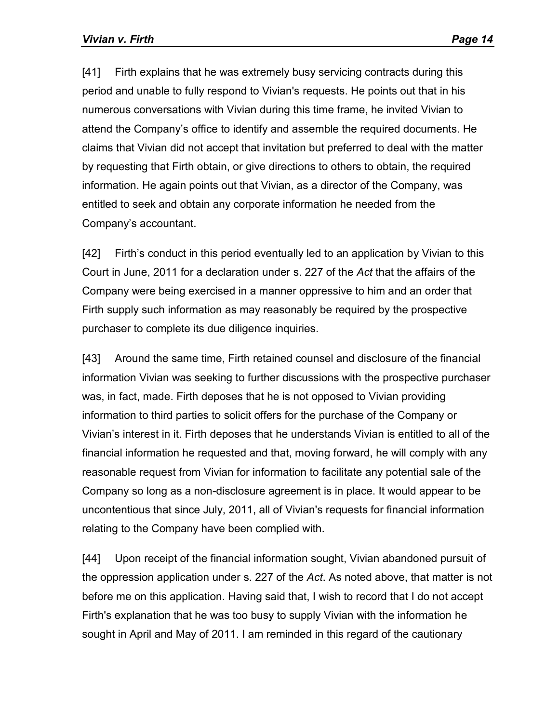[41] Firth explains that he was extremely busy servicing contracts during this period and unable to fully respond to Vivian's requests. He points out that in his numerous conversations with Vivian during this time frame, he invited Vivian to attend the Company's office to identify and assemble the required documents. He claims that Vivian did not accept that invitation but preferred to deal with the matter by requesting that Firth obtain, or give directions to others to obtain, the required information. He again points out that Vivian, as a director of the Company, was entitled to seek and obtain any corporate information he needed from the Company's accountant.

[42] Firth's conduct in this period eventually led to an application by Vivian to this Court in June, 2011 for a declaration under s. 227 of the *Act* that the affairs of the Company were being exercised in a manner oppressive to him and an order that Firth supply such information as may reasonably be required by the prospective purchaser to complete its due diligence inquiries.

[43] Around the same time, Firth retained counsel and disclosure of the financial information Vivian was seeking to further discussions with the prospective purchaser was, in fact, made. Firth deposes that he is not opposed to Vivian providing information to third parties to solicit offers for the purchase of the Company or Vivian's interest in it. Firth deposes that he understands Vivian is entitled to all of the financial information he requested and that, moving forward, he will comply with any reasonable request from Vivian for information to facilitate any potential sale of the Company so long as a non-disclosure agreement is in place. It would appear to be uncontentious that since July, 2011, all of Vivian's requests for financial information relating to the Company have been complied with.

[44] Upon receipt of the financial information sought, Vivian abandoned pursuit of the oppression application under s. 227 of the *Act*. As noted above, that matter is not before me on this application. Having said that, I wish to record that I do not accept Firth's explanation that he was too busy to supply Vivian with the information he sought in April and May of 2011. I am reminded in this regard of the cautionary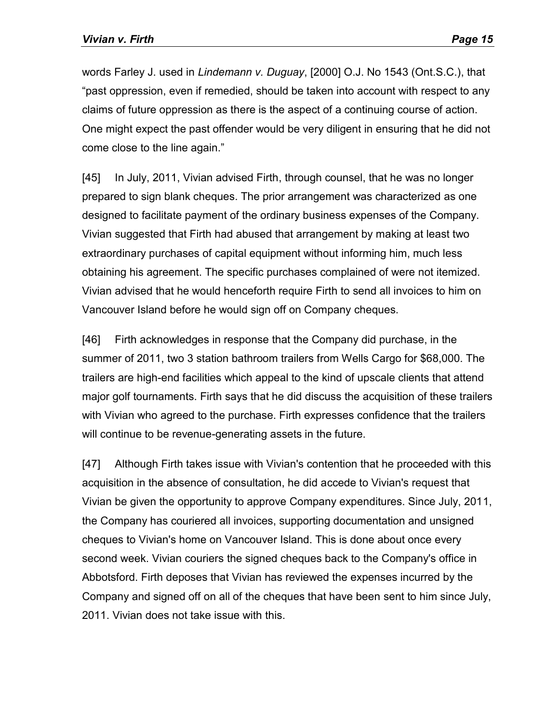words Farley J. used in *Lindemann v. Duguay*, [2000] O.J. No 1543 (Ont.S.C.), that "past oppression, even if remedied, should be taken into account with respect to any claims of future oppression as there is the aspect of a continuing course of action. One might expect the past offender would be very diligent in ensuring that he did not come close to the line again."

[45] In July, 2011, Vivian advised Firth, through counsel, that he was no longer prepared to sign blank cheques. The prior arrangement was characterized as one designed to facilitate payment of the ordinary business expenses of the Company. Vivian suggested that Firth had abused that arrangement by making at least two extraordinary purchases of capital equipment without informing him, much less obtaining his agreement. The specific purchases complained of were not itemized. Vivian advised that he would henceforth require Firth to send all invoices to him on Vancouver Island before he would sign off on Company cheques.

[46] Firth acknowledges in response that the Company did purchase, in the summer of 2011, two 3 station bathroom trailers from Wells Cargo for \$68,000. The trailers are high-end facilities which appeal to the kind of upscale clients that attend major golf tournaments. Firth says that he did discuss the acquisition of these trailers with Vivian who agreed to the purchase. Firth expresses confidence that the trailers will continue to be revenue-generating assets in the future.

[47] Although Firth takes issue with Vivian's contention that he proceeded with this acquisition in the absence of consultation, he did accede to Vivian's request that Vivian be given the opportunity to approve Company expenditures. Since July, 2011, the Company has couriered all invoices, supporting documentation and unsigned cheques to Vivian's home on Vancouver Island. This is done about once every second week. Vivian couriers the signed cheques back to the Company's office in Abbotsford. Firth deposes that Vivian has reviewed the expenses incurred by the Company and signed off on all of the cheques that have been sent to him since July, 2011. Vivian does not take issue with this.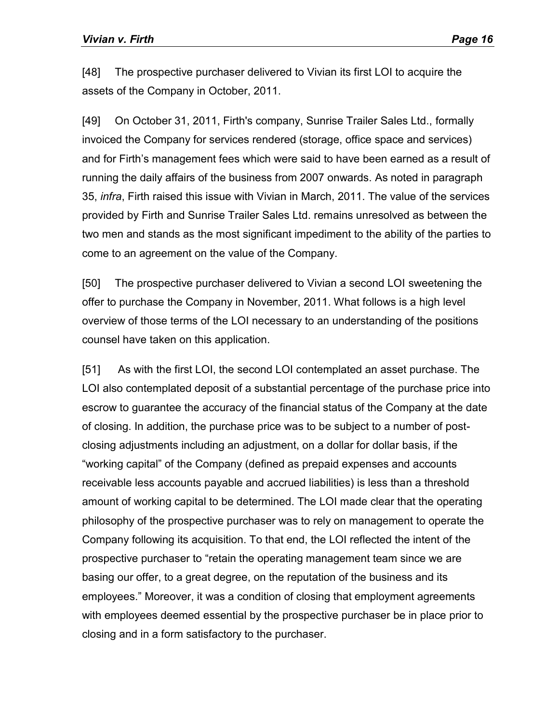[48] The prospective purchaser delivered to Vivian its first LOI to acquire the assets of the Company in October, 2011.

[49] On October 31, 2011, Firth's company, Sunrise Trailer Sales Ltd., formally invoiced the Company for services rendered (storage, office space and services) and for Firth's management fees which were said to have been earned as a result of running the daily affairs of the business from 2007 onwards. As noted in paragraph 35, *infra*, Firth raised this issue with Vivian in March, 2011. The value of the services provided by Firth and Sunrise Trailer Sales Ltd. remains unresolved as between the two men and stands as the most significant impediment to the ability of the parties to come to an agreement on the value of the Company.

[50] The prospective purchaser delivered to Vivian a second LOI sweetening the offer to purchase the Company in November, 2011. What follows is a high level overview of those terms of the LOI necessary to an understanding of the positions counsel have taken on this application.

[51] As with the first LOI, the second LOI contemplated an asset purchase. The LOI also contemplated deposit of a substantial percentage of the purchase price into escrow to guarantee the accuracy of the financial status of the Company at the date of closing. In addition, the purchase price was to be subject to a number of postclosing adjustments including an adjustment, on a dollar for dollar basis, if the "working capital" of the Company (defined as prepaid expenses and accounts receivable less accounts payable and accrued liabilities) is less than a threshold amount of working capital to be determined. The LOI made clear that the operating philosophy of the prospective purchaser was to rely on management to operate the Company following its acquisition. To that end, the LOI reflected the intent of the prospective purchaser to "retain the operating management team since we are basing our offer, to a great degree, on the reputation of the business and its employees." Moreover, it was a condition of closing that employment agreements with employees deemed essential by the prospective purchaser be in place prior to closing and in a form satisfactory to the purchaser.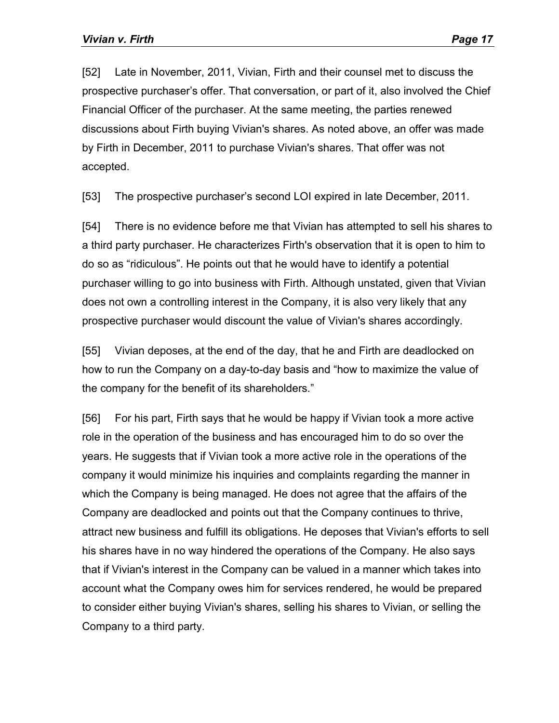[52] Late in November, 2011, Vivian, Firth and their counsel met to discuss the prospective purchaser's offer. That conversation, or part of it, also involved the Chief Financial Officer of the purchaser. At the same meeting, the parties renewed discussions about Firth buying Vivian's shares. As noted above, an offer was made by Firth in December, 2011 to purchase Vivian's shares. That offer was not accepted.

[53] The prospective purchaser's second LOI expired in late December, 2011.

[54] There is no evidence before me that Vivian has attempted to sell his shares to a third party purchaser. He characterizes Firth's observation that it is open to him to do so as "ridiculous". He points out that he would have to identify a potential purchaser willing to go into business with Firth. Although unstated, given that Vivian does not own a controlling interest in the Company, it is also very likely that any prospective purchaser would discount the value of Vivian's shares accordingly.

[55] Vivian deposes, at the end of the day, that he and Firth are deadlocked on how to run the Company on a day-to-day basis and "how to maximize the value of the company for the benefit of its shareholders."

[56] For his part, Firth says that he would be happy if Vivian took a more active role in the operation of the business and has encouraged him to do so over the years. He suggests that if Vivian took a more active role in the operations of the company it would minimize his inquiries and complaints regarding the manner in which the Company is being managed. He does not agree that the affairs of the Company are deadlocked and points out that the Company continues to thrive, attract new business and fulfill its obligations. He deposes that Vivian's efforts to sell his shares have in no way hindered the operations of the Company. He also says that if Vivian's interest in the Company can be valued in a manner which takes into account what the Company owes him for services rendered, he would be prepared to consider either buying Vivian's shares, selling his shares to Vivian, or selling the Company to a third party.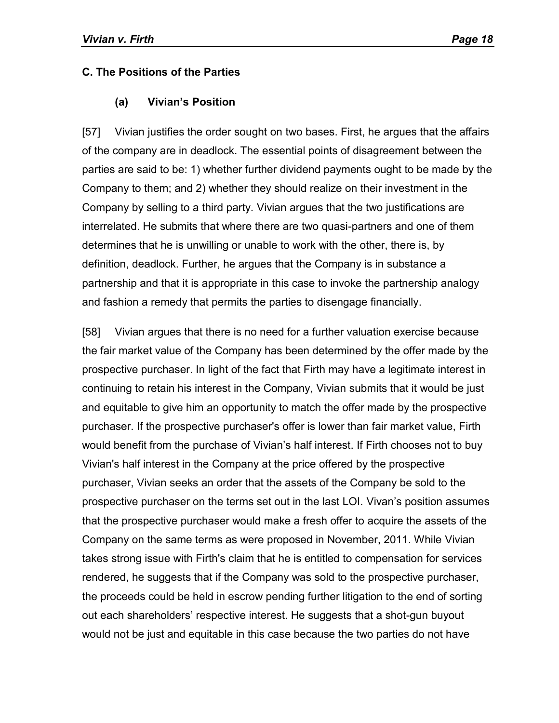#### **C. The Positions of the Parties**

#### **(a) Vivian's Position**

[57] Vivian justifies the order sought on two bases. First, he argues that the affairs of the company are in deadlock. The essential points of disagreement between the parties are said to be: 1) whether further dividend payments ought to be made by the Company to them; and 2) whether they should realize on their investment in the Company by selling to a third party. Vivian argues that the two justifications are interrelated. He submits that where there are two quasi-partners and one of them determines that he is unwilling or unable to work with the other, there is, by definition, deadlock. Further, he argues that the Company is in substance a partnership and that it is appropriate in this case to invoke the partnership analogy and fashion a remedy that permits the parties to disengage financially.

[58] Vivian argues that there is no need for a further valuation exercise because the fair market value of the Company has been determined by the offer made by the prospective purchaser. In light of the fact that Firth may have a legitimate interest in continuing to retain his interest in the Company, Vivian submits that it would be just and equitable to give him an opportunity to match the offer made by the prospective purchaser. If the prospective purchaser's offer is lower than fair market value, Firth would benefit from the purchase of Vivian's half interest. If Firth chooses not to buy Vivian's half interest in the Company at the price offered by the prospective purchaser, Vivian seeks an order that the assets of the Company be sold to the prospective purchaser on the terms set out in the last LOI. Vivan's position assumes that the prospective purchaser would make a fresh offer to acquire the assets of the Company on the same terms as were proposed in November, 2011. While Vivian takes strong issue with Firth's claim that he is entitled to compensation for services rendered, he suggests that if the Company was sold to the prospective purchaser, the proceeds could be held in escrow pending further litigation to the end of sorting out each shareholders' respective interest. He suggests that a shot-gun buyout would not be just and equitable in this case because the two parties do not have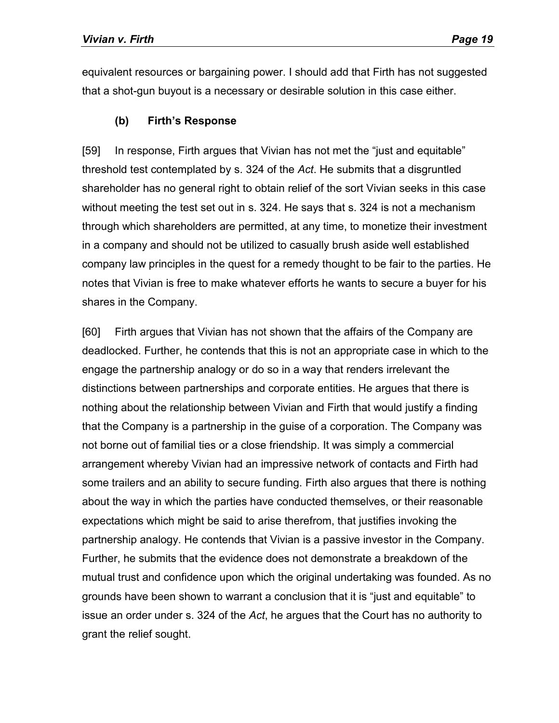equivalent resources or bargaining power. I should add that Firth has not suggested that a shot-gun buyout is a necessary or desirable solution in this case either.

### **(b) Firth's Response**

[59] In response, Firth argues that Vivian has not met the "just and equitable" threshold test contemplated by s. 324 of the *Act*. He submits that a disgruntled shareholder has no general right to obtain relief of the sort Vivian seeks in this case without meeting the test set out in s. 324. He says that s. 324 is not a mechanism through which shareholders are permitted, at any time, to monetize their investment in a company and should not be utilized to casually brush aside well established company law principles in the quest for a remedy thought to be fair to the parties. He notes that Vivian is free to make whatever efforts he wants to secure a buyer for his shares in the Company.

[60] Firth argues that Vivian has not shown that the affairs of the Company are deadlocked. Further, he contends that this is not an appropriate case in which to the engage the partnership analogy or do so in a way that renders irrelevant the distinctions between partnerships and corporate entities. He argues that there is nothing about the relationship between Vivian and Firth that would justify a finding that the Company is a partnership in the guise of a corporation. The Company was not borne out of familial ties or a close friendship. It was simply a commercial arrangement whereby Vivian had an impressive network of contacts and Firth had some trailers and an ability to secure funding. Firth also argues that there is nothing about the way in which the parties have conducted themselves, or their reasonable expectations which might be said to arise therefrom, that justifies invoking the partnership analogy. He contends that Vivian is a passive investor in the Company. Further, he submits that the evidence does not demonstrate a breakdown of the mutual trust and confidence upon which the original undertaking was founded. As no grounds have been shown to warrant a conclusion that it is "just and equitable" to issue an order under s. 324 of the *Act*, he argues that the Court has no authority to grant the relief sought.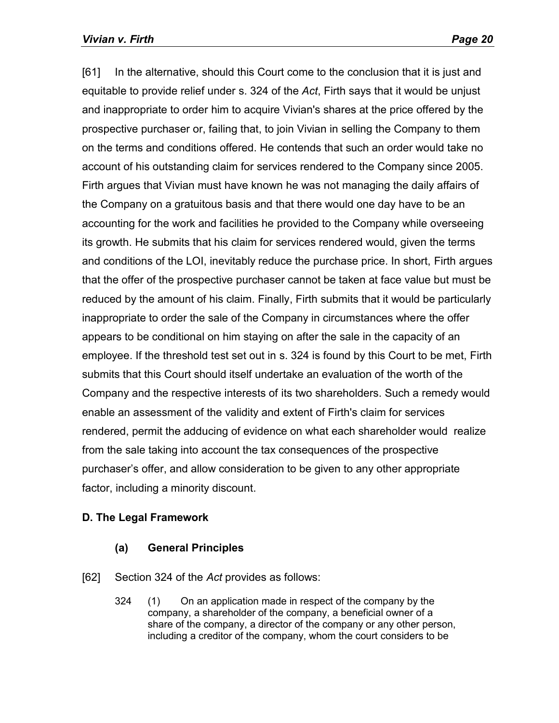[61] In the alternative, should this Court come to the conclusion that it is just and equitable to provide relief under s. 324 of the *Act*, Firth says that it would be unjust and inappropriate to order him to acquire Vivian's shares at the price offered by the prospective purchaser or, failing that, to join Vivian in selling the Company to them on the terms and conditions offered. He contends that such an order would take no account of his outstanding claim for services rendered to the Company since 2005. Firth argues that Vivian must have known he was not managing the daily affairs of the Company on a gratuitous basis and that there would one day have to be an accounting for the work and facilities he provided to the Company while overseeing its growth. He submits that his claim for services rendered would, given the terms and conditions of the LOI, inevitably reduce the purchase price. In short, Firth argues that the offer of the prospective purchaser cannot be taken at face value but must be reduced by the amount of his claim. Finally, Firth submits that it would be particularly inappropriate to order the sale of the Company in circumstances where the offer appears to be conditional on him staying on after the sale in the capacity of an employee. If the threshold test set out in s. 324 is found by this Court to be met, Firth submits that this Court should itself undertake an evaluation of the worth of the Company and the respective interests of its two shareholders. Such a remedy would enable an assessment of the validity and extent of Firth's claim for services rendered, permit the adducing of evidence on what each shareholder would realize from the sale taking into account the tax consequences of the prospective purchaser's offer, and allow consideration to be given to any other appropriate factor, including a minority discount.

## **D. The Legal Framework**

#### **(a) General Principles**

- [62] Section 324 of the *Act* provides as follows:
	- 324 (1) On an application made in respect of the company by the company, a shareholder of the company, a beneficial owner of a share of the company, a director of the company or any other person, including a creditor of the company, whom the court considers to be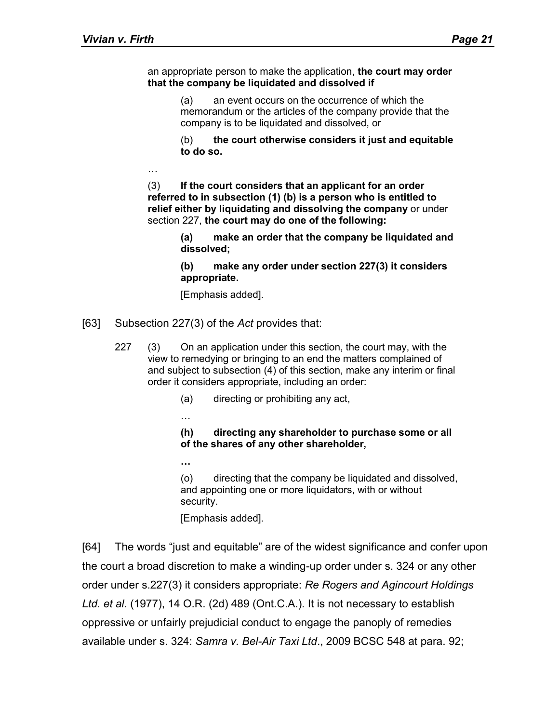an appropriate person to make the application, **the court may order that the company be liquidated and dissolved if**

> (a) an event occurs on the occurrence of which the memorandum or the articles of the company provide that the company is to be liquidated and dissolved, or

(b) **the court otherwise considers it just and equitable to do so.**

…

(3) **If the court considers that an applicant for an order referred to in subsection (1) (b) is a person who is entitled to relief either by liquidating and dissolving the company** or under section 227, **the court may do one of the following:**

> **(a) make an order that the company be liquidated and dissolved;**

**(b) make any order under section 227(3) it considers appropriate.**

[Emphasis added].

[63] Subsection 227(3) of the *Act* provides that:

…

**…**

- 227 (3) On an application under this section, the court may, with the view to remedying or bringing to an end the matters complained of and subject to subsection (4) of this section, make any interim or final order it considers appropriate, including an order:
	- (a) directing or prohibiting any act,

#### **(h) directing any shareholder to purchase some or all of the shares of any other shareholder,**

(o) directing that the company be liquidated and dissolved, and appointing one or more liquidators, with or without security.

[Emphasis added].

[64] The words "just and equitable" are of the widest significance and confer upon the court a broad discretion to make a winding-up order under s. 324 or any other order under s.227(3) it considers appropriate: *Re Rogers and Agincourt Holdings Ltd. et al.* (1977), 14 O.R. (2d) 489 (Ont.C.A.). It is not necessary to establish oppressive or unfairly prejudicial conduct to engage the panoply of remedies available under s. 324: *Samra v. Bel-Air Taxi Ltd*., 2009 BCSC 548 at para. 92;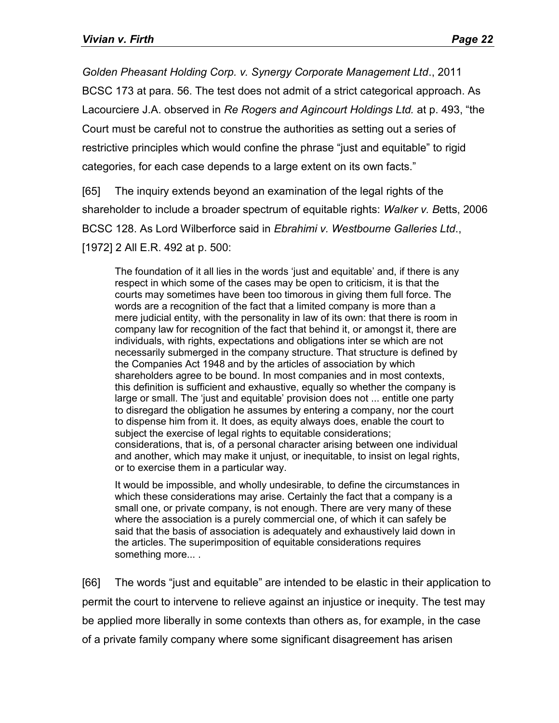*Golden Pheasant Holding Corp. v. Synergy Corporate Management Ltd*., 2011 BCSC 173 at para. 56. The test does not admit of a strict categorical approach. As Lacourciere J.A. observed in *Re Rogers and Agincourt Holdings Ltd.* at p. 493, "the Court must be careful not to construe the authorities as setting out a series of restrictive principles which would confine the phrase "just and equitable" to rigid categories, for each case depends to a large extent on its own facts."

[65] The inquiry extends beyond an examination of the legal rights of the shareholder to include a broader spectrum of equitable rights: *Walker v. B*etts, 2006 BCSC 128. As Lord Wilberforce said in *Ebrahimi v. Westbourne Galleries Ltd*., [1972] 2 All E.R. 492 at p. 500:

The foundation of it all lies in the words 'just and equitable' and, if there is any respect in which some of the cases may be open to criticism, it is that the courts may sometimes have been too timorous in giving them full force. The words are a recognition of the fact that a limited company is more than a mere judicial entity, with the personality in law of its own: that there is room in company law for recognition of the fact that behind it, or amongst it, there are individuals, with rights, expectations and obligations inter se which are not necessarily submerged in the company structure. That structure is defined by the Companies Act 1948 and by the articles of association by which shareholders agree to be bound. In most companies and in most contexts, this definition is sufficient and exhaustive, equally so whether the company is large or small. The 'just and equitable' provision does not ... entitle one party to disregard the obligation he assumes by entering a company, nor the court to dispense him from it. It does, as equity always does, enable the court to subject the exercise of legal rights to equitable considerations; considerations, that is, of a personal character arising between one individual and another, which may make it unjust, or inequitable, to insist on legal rights, or to exercise them in a particular way.

It would be impossible, and wholly undesirable, to define the circumstances in which these considerations may arise. Certainly the fact that a company is a small one, or private company, is not enough. There are very many of these where the association is a purely commercial one, of which it can safely be said that the basis of association is adequately and exhaustively laid down in the articles. The superimposition of equitable considerations requires something more... .

[66] The words "just and equitable" are intended to be elastic in their application to permit the court to intervene to relieve against an injustice or inequity. The test may be applied more liberally in some contexts than others as, for example, in the case of a private family company where some significant disagreement has arisen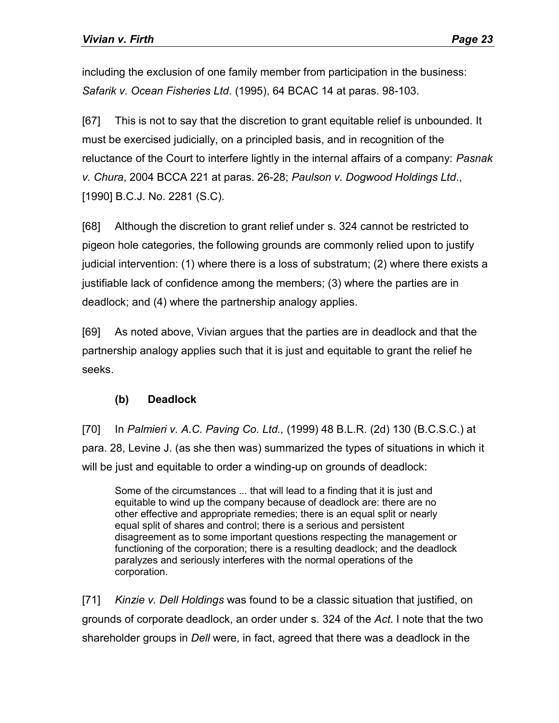including the exclusion of one family member from participation in the business: *Safarik v. Ocean Fisheries Ltd*. (1995), 64 BCAC 14 at paras. 98-103.

[67] This is not to say that the discretion to grant equitable relief is unbounded. It must be exercised judicially, on a principled basis, and in recognition of the reluctance of the Court to interfere lightly in the internal affairs of a company: *Pasnak v. Chura*, 2004 BCCA 221 at paras. 26-28; *Paulson v. Dogwood Holdings Ltd*., [1990] B.C.J. No. 2281 (S.C).

[68] Although the discretion to grant relief under s. 324 cannot be restricted to pigeon hole categories, the following grounds are commonly relied upon to justify judicial intervention: (1) where there is a loss of substratum; (2) where there exists a justifiable lack of confidence among the members; (3) where the parties are in deadlock; and (4) where the partnership analogy applies.

[69] As noted above, Vivian argues that the parties are in deadlock and that the partnership analogy applies such that it is just and equitable to grant the relief he seeks.

## **(b) Deadlock**

[70] In *Palmieri v. A.C. Paving Co. Ltd.,* (1999) 48 B.L.R. (2d) 130 (B.C.S.C.) at para. 28, Levine J. (as she then was) summarized the types of situations in which it will be just and equitable to order a winding-up on grounds of deadlock:

Some of the circumstances ... that will lead to a finding that it is just and equitable to wind up the company because of deadlock are: there are no other effective and appropriate remedies; there is an equal split or nearly equal split of shares and control; there is a serious and persistent disagreement as to some important questions respecting the management or functioning of the corporation; there is a resulting deadlock; and the deadlock paralyzes and seriously interferes with the normal operations of the corporation.

[71] *Kinzie v. Dell Holdings* was found to be a classic situation that justified, on grounds of corporate deadlock, an order under s. 324 of the *Act*. I note that the two shareholder groups in *Dell* were, in fact, agreed that there was a deadlock in the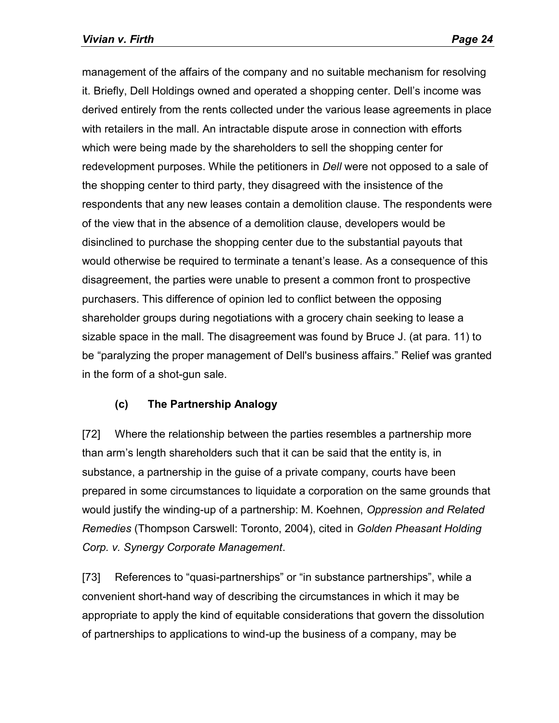management of the affairs of the company and no suitable mechanism for resolving it. Briefly, Dell Holdings owned and operated a shopping center. Dell's income was derived entirely from the rents collected under the various lease agreements in place with retailers in the mall. An intractable dispute arose in connection with efforts which were being made by the shareholders to sell the shopping center for redevelopment purposes. While the petitioners in *Dell* were not opposed to a sale of the shopping center to third party, they disagreed with the insistence of the respondents that any new leases contain a demolition clause. The respondents were of the view that in the absence of a demolition clause, developers would be disinclined to purchase the shopping center due to the substantial payouts that would otherwise be required to terminate a tenant's lease. As a consequence of this disagreement, the parties were unable to present a common front to prospective purchasers. This difference of opinion led to conflict between the opposing shareholder groups during negotiations with a grocery chain seeking to lease a sizable space in the mall. The disagreement was found by Bruce J. (at para. 11) to be "paralyzing the proper management of Dell's business affairs." Relief was granted in the form of a shot-gun sale.

## **(c) The Partnership Analogy**

[72] Where the relationship between the parties resembles a partnership more than arm's length shareholders such that it can be said that the entity is, in substance, a partnership in the guise of a private company, courts have been prepared in some circumstances to liquidate a corporation on the same grounds that would justify the winding-up of a partnership: M. Koehnen, *Oppression and Related Remedies* (Thompson Carswell: Toronto, 2004), cited in *Golden Pheasant Holding Corp. v. Synergy Corporate Management*.

[73] References to "quasi-partnerships" or "in substance partnerships", while a convenient short-hand way of describing the circumstances in which it may be appropriate to apply the kind of equitable considerations that govern the dissolution of partnerships to applications to wind-up the business of a company, may be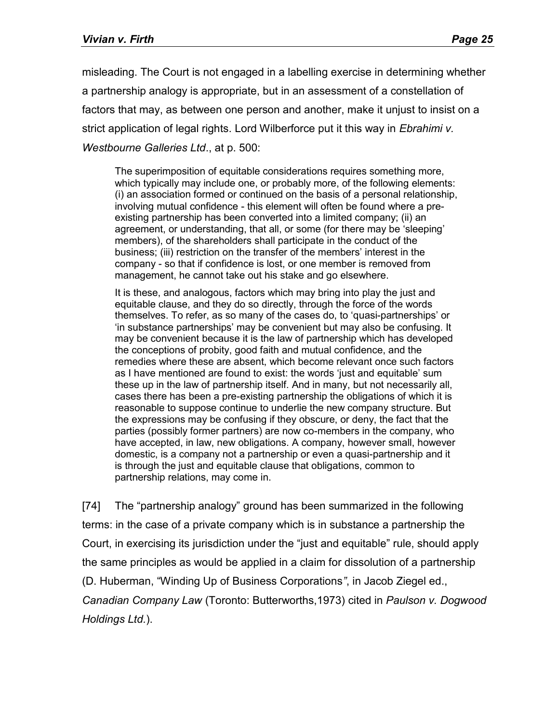misleading. The Court is not engaged in a labelling exercise in determining whether a partnership analogy is appropriate, but in an assessment of a constellation of factors that may, as between one person and another, make it unjust to insist on a strict application of legal rights. Lord Wilberforce put it this way in *Ebrahimi v. Westbourne Galleries Ltd*., at p. 500:

The superimposition of equitable considerations requires something more, which typically may include one, or probably more, of the following elements: (i) an association formed or continued on the basis of a personal relationship, involving mutual confidence - this element will often be found where a preexisting partnership has been converted into a limited company; (ii) an agreement, or understanding, that all, or some (for there may be 'sleeping' members), of the shareholders shall participate in the conduct of the business; (iii) restriction on the transfer of the members' interest in the company - so that if confidence is lost, or one member is removed from management, he cannot take out his stake and go elsewhere.

It is these, and analogous, factors which may bring into play the just and equitable clause, and they do so directly, through the force of the words themselves. To refer, as so many of the cases do, to 'quasi-partnerships' or 'in substance partnerships' may be convenient but may also be confusing. It may be convenient because it is the law of partnership which has developed the conceptions of probity, good faith and mutual confidence, and the remedies where these are absent, which become relevant once such factors as I have mentioned are found to exist: the words 'just and equitable' sum these up in the law of partnership itself. And in many, but not necessarily all, cases there has been a pre-existing partnership the obligations of which it is reasonable to suppose continue to underlie the new company structure. But the expressions may be confusing if they obscure, or deny, the fact that the parties (possibly former partners) are now co-members in the company, who have accepted, in law, new obligations. A company, however small, however domestic, is a company not a partnership or even a quasi-partnership and it is through the just and equitable clause that obligations, common to partnership relations, may come in.

[74] The "partnership analogy" ground has been summarized in the following terms: in the case of a private company which is in substance a partnership the Court, in exercising its jurisdiction under the "just and equitable" rule, should apply the same principles as would be applied in a claim for dissolution of a partnership (D. Huberman, "Winding Up of Business Corporations*"*, in Jacob Ziegel ed., *Canadian Company Law* (Toronto: Butterworths,1973) cited in *Paulson v. Dogwood Holdings Ltd.*).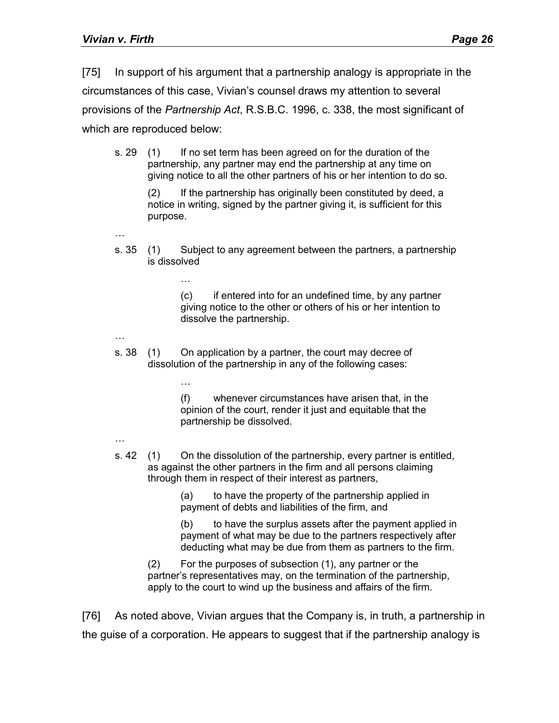[75] In support of his argument that a partnership analogy is appropriate in the circumstances of this case, Vivian's counsel draws my attention to several provisions of the *Partnership Act*, R.S.B.C. 1996, c. 338, the most significant of which are reproduced below:

s. 29 (1) If no set term has been agreed on for the duration of the partnership, any partner may end the partnership at any time on giving notice to all the other partners of his or her intention to do so.

> (2) If the partnership has originally been constituted by deed, a notice in writing, signed by the partner giving it, is sufficient for this purpose.

…

…

…

s. 35 (1) Subject to any agreement between the partners, a partnership is dissolved

> (c) if entered into for an undefined time, by any partner giving notice to the other or others of his or her intention to dissolve the partnership.

…

s. 38 (1) On application by a partner, the court may decree of dissolution of the partnership in any of the following cases:

> (f) whenever circumstances have arisen that, in the opinion of the court, render it just and equitable that the partnership be dissolved.

- …
- s. 42 (1) On the dissolution of the partnership, every partner is entitled, as against the other partners in the firm and all persons claiming through them in respect of their interest as partners,

(a) to have the property of the partnership applied in payment of debts and liabilities of the firm, and

(b) to have the surplus assets after the payment applied in payment of what may be due to the partners respectively after deducting what may be due from them as partners to the firm.

(2) For the purposes of subsection (1), any partner or the partner's representatives may, on the termination of the partnership, apply to the court to wind up the business and affairs of the firm.

[76] As noted above, Vivian argues that the Company is, in truth, a partnership in the guise of a corporation. He appears to suggest that if the partnership analogy is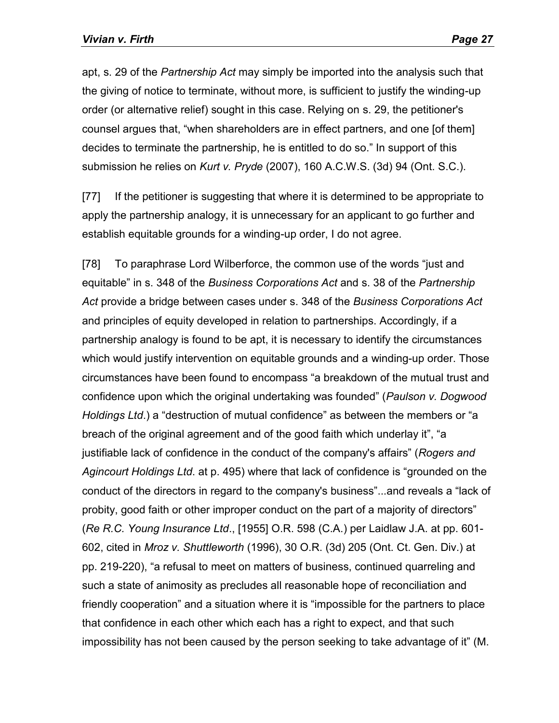apt, s. 29 of the *Partnership Act* may simply be imported into the analysis such that the giving of notice to terminate, without more, is sufficient to justify the winding-up order (or alternative relief) sought in this case. Relying on s. 29, the petitioner's counsel argues that, "when shareholders are in effect partners, and one [of them] decides to terminate the partnership, he is entitled to do so." In support of this submission he relies on *Kurt v. Pryde* (2007), 160 A.C.W.S. (3d) 94 (Ont. S.C.).

[77] If the petitioner is suggesting that where it is determined to be appropriate to apply the partnership analogy, it is unnecessary for an applicant to go further and establish equitable grounds for a winding-up order, I do not agree.

[78] To paraphrase Lord Wilberforce, the common use of the words "just and equitable" in s. 348 of the *Business Corporations Act* and s. 38 of the *Partnership Act* provide a bridge between cases under s. 348 of the *Business Corporations Act* and principles of equity developed in relation to partnerships. Accordingly, if a partnership analogy is found to be apt, it is necessary to identify the circumstances which would justify intervention on equitable grounds and a winding-up order. Those circumstances have been found to encompass "a breakdown of the mutual trust and confidence upon which the original undertaking was founded" (*Paulson v. Dogwood Holdings Ltd*.) a "destruction of mutual confidence" as between the members or "a breach of the original agreement and of the good faith which underlay it", "a justifiable lack of confidence in the conduct of the company's affairs" (*Rogers and Agincourt Holdings Ltd*. at p. 495) where that lack of confidence is "grounded on the conduct of the directors in regard to the company's business"...and reveals a "lack of probity, good faith or other improper conduct on the part of a majority of directors" (*Re R.C. Young Insurance Ltd*., [1955] O.R. 598 (C.A.) per Laidlaw J.A. at pp. 601- 602, cited in *Mroz v. Shuttleworth* (1996), 30 O.R. (3d) 205 (Ont. Ct. Gen. Div.) at pp. 219-220), "a refusal to meet on matters of business, continued quarreling and such a state of animosity as precludes all reasonable hope of reconciliation and friendly cooperation" and a situation where it is "impossible for the partners to place that confidence in each other which each has a right to expect, and that such impossibility has not been caused by the person seeking to take advantage of it" (M.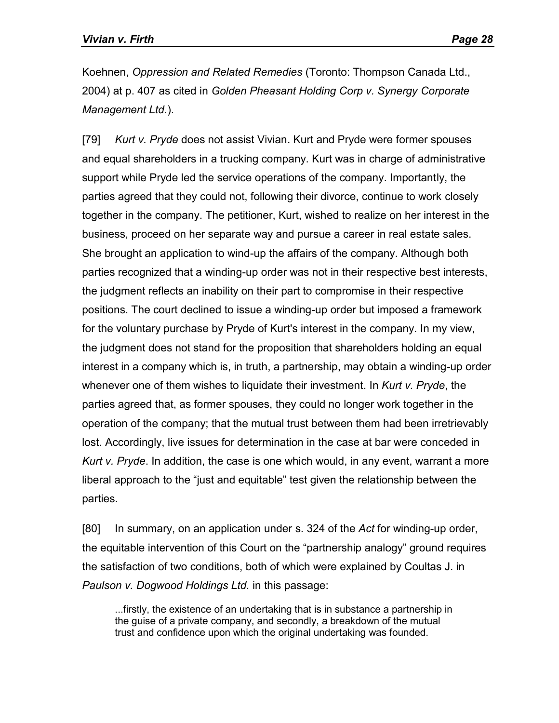Koehnen, *Oppression and Related Remedies* (Toronto: Thompson Canada Ltd., 2004) at p. 407 as cited in *Golden Pheasant Holding Corp v. Synergy Corporate Management Ltd.*).

[79] *Kurt v. Pryde* does not assist Vivian. Kurt and Pryde were former spouses and equal shareholders in a trucking company. Kurt was in charge of administrative support while Pryde led the service operations of the company. Importantly, the parties agreed that they could not, following their divorce, continue to work closely together in the company. The petitioner, Kurt, wished to realize on her interest in the business, proceed on her separate way and pursue a career in real estate sales. She brought an application to wind-up the affairs of the company. Although both parties recognized that a winding-up order was not in their respective best interests, the judgment reflects an inability on their part to compromise in their respective positions. The court declined to issue a winding-up order but imposed a framework for the voluntary purchase by Pryde of Kurt's interest in the company. In my view, the judgment does not stand for the proposition that shareholders holding an equal interest in a company which is, in truth, a partnership, may obtain a winding-up order whenever one of them wishes to liquidate their investment. In *Kurt v. Pryde*, the parties agreed that, as former spouses, they could no longer work together in the operation of the company; that the mutual trust between them had been irretrievably lost. Accordingly, live issues for determination in the case at bar were conceded in *Kurt v. Pryde*. In addition, the case is one which would, in any event, warrant a more liberal approach to the "just and equitable" test given the relationship between the parties.

[80] In summary, on an application under s. 324 of the *Act* for winding-up order, the equitable intervention of this Court on the "partnership analogy" ground requires the satisfaction of two conditions, both of which were explained by Coultas J. in *Paulson v. Dogwood Holdings Ltd.* in this passage:

...firstly, the existence of an undertaking that is in substance a partnership in the guise of a private company, and secondly, a breakdown of the mutual trust and confidence upon which the original undertaking was founded.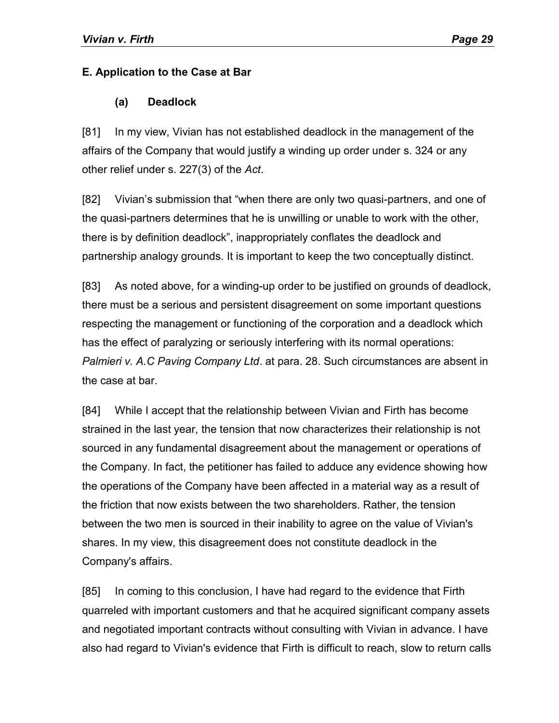#### **E. Application to the Case at Bar**

#### **(a) Deadlock**

[81] In my view, Vivian has not established deadlock in the management of the affairs of the Company that would justify a winding up order under s. 324 or any other relief under s. 227(3) of the *Act*.

[82] Vivian's submission that "when there are only two quasi-partners, and one of the quasi-partners determines that he is unwilling or unable to work with the other, there is by definition deadlock", inappropriately conflates the deadlock and partnership analogy grounds. It is important to keep the two conceptually distinct.

[83] As noted above, for a winding-up order to be justified on grounds of deadlock, there must be a serious and persistent disagreement on some important questions respecting the management or functioning of the corporation and a deadlock which has the effect of paralyzing or seriously interfering with its normal operations: *Palmieri v. A.C Paving Company Ltd*. at para. 28. Such circumstances are absent in the case at bar.

[84] While I accept that the relationship between Vivian and Firth has become strained in the last year, the tension that now characterizes their relationship is not sourced in any fundamental disagreement about the management or operations of the Company. In fact, the petitioner has failed to adduce any evidence showing how the operations of the Company have been affected in a material way as a result of the friction that now exists between the two shareholders. Rather, the tension between the two men is sourced in their inability to agree on the value of Vivian's shares. In my view, this disagreement does not constitute deadlock in the Company's affairs.

[85] In coming to this conclusion, I have had regard to the evidence that Firth quarreled with important customers and that he acquired significant company assets and negotiated important contracts without consulting with Vivian in advance. I have also had regard to Vivian's evidence that Firth is difficult to reach, slow to return calls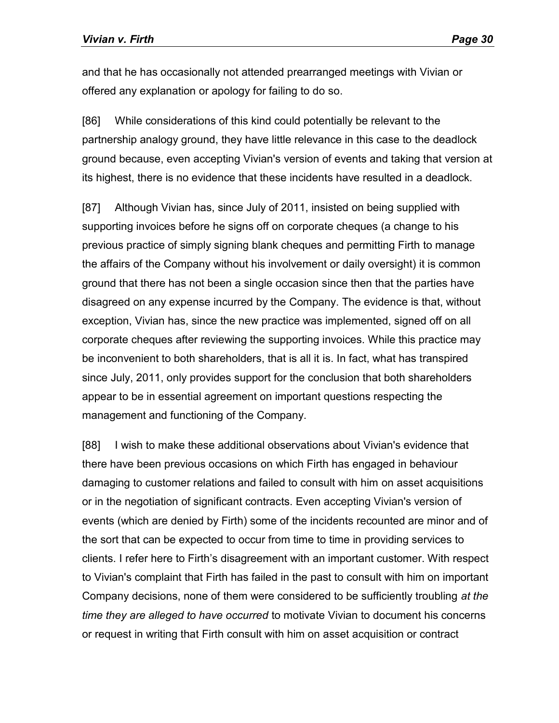and that he has occasionally not attended prearranged meetings with Vivian or offered any explanation or apology for failing to do so.

[86] While considerations of this kind could potentially be relevant to the partnership analogy ground, they have little relevance in this case to the deadlock ground because, even accepting Vivian's version of events and taking that version at its highest, there is no evidence that these incidents have resulted in a deadlock.

[87] Although Vivian has, since July of 2011, insisted on being supplied with supporting invoices before he signs off on corporate cheques (a change to his previous practice of simply signing blank cheques and permitting Firth to manage the affairs of the Company without his involvement or daily oversight) it is common ground that there has not been a single occasion since then that the parties have disagreed on any expense incurred by the Company. The evidence is that, without exception, Vivian has, since the new practice was implemented, signed off on all corporate cheques after reviewing the supporting invoices. While this practice may be inconvenient to both shareholders, that is all it is. In fact, what has transpired since July, 2011, only provides support for the conclusion that both shareholders appear to be in essential agreement on important questions respecting the management and functioning of the Company.

[88] I wish to make these additional observations about Vivian's evidence that there have been previous occasions on which Firth has engaged in behaviour damaging to customer relations and failed to consult with him on asset acquisitions or in the negotiation of significant contracts. Even accepting Vivian's version of events (which are denied by Firth) some of the incidents recounted are minor and of the sort that can be expected to occur from time to time in providing services to clients. I refer here to Firth's disagreement with an important customer. With respect to Vivian's complaint that Firth has failed in the past to consult with him on important Company decisions, none of them were considered to be sufficiently troubling *at the time they are alleged to have occurred* to motivate Vivian to document his concerns or request in writing that Firth consult with him on asset acquisition or contract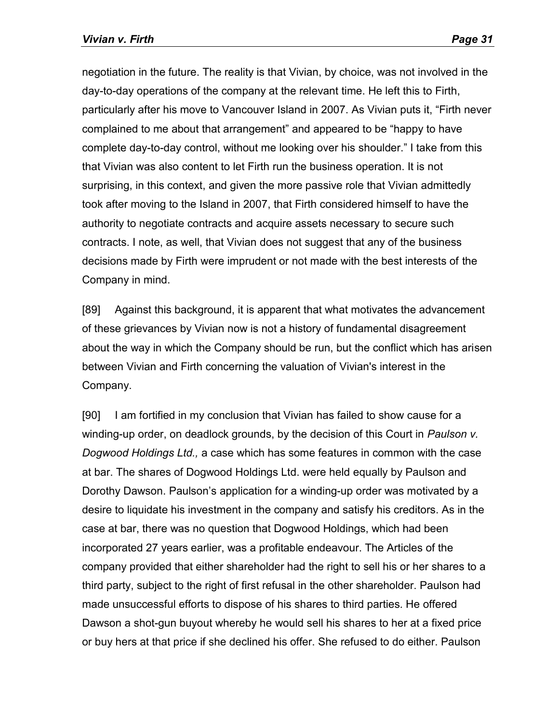negotiation in the future. The reality is that Vivian, by choice, was not involved in the day-to-day operations of the company at the relevant time. He left this to Firth, particularly after his move to Vancouver Island in 2007. As Vivian puts it, "Firth never complained to me about that arrangement" and appeared to be "happy to have complete day-to-day control, without me looking over his shoulder." I take from this that Vivian was also content to let Firth run the business operation. It is not surprising, in this context, and given the more passive role that Vivian admittedly took after moving to the Island in 2007, that Firth considered himself to have the authority to negotiate contracts and acquire assets necessary to secure such contracts. I note, as well, that Vivian does not suggest that any of the business decisions made by Firth were imprudent or not made with the best interests of the Company in mind.

[89] Against this background, it is apparent that what motivates the advancement of these grievances by Vivian now is not a history of fundamental disagreement about the way in which the Company should be run, but the conflict which has arisen between Vivian and Firth concerning the valuation of Vivian's interest in the Company.

[90] I am fortified in my conclusion that Vivian has failed to show cause for a winding-up order, on deadlock grounds, by the decision of this Court in *Paulson v. Dogwood Holdings Ltd.,* a case which has some features in common with the case at bar. The shares of Dogwood Holdings Ltd. were held equally by Paulson and Dorothy Dawson. Paulson's application for a winding-up order was motivated by a desire to liquidate his investment in the company and satisfy his creditors. As in the case at bar, there was no question that Dogwood Holdings, which had been incorporated 27 years earlier, was a profitable endeavour. The Articles of the company provided that either shareholder had the right to sell his or her shares to a third party, subject to the right of first refusal in the other shareholder. Paulson had made unsuccessful efforts to dispose of his shares to third parties. He offered Dawson a shot-gun buyout whereby he would sell his shares to her at a fixed price or buy hers at that price if she declined his offer. She refused to do either. Paulson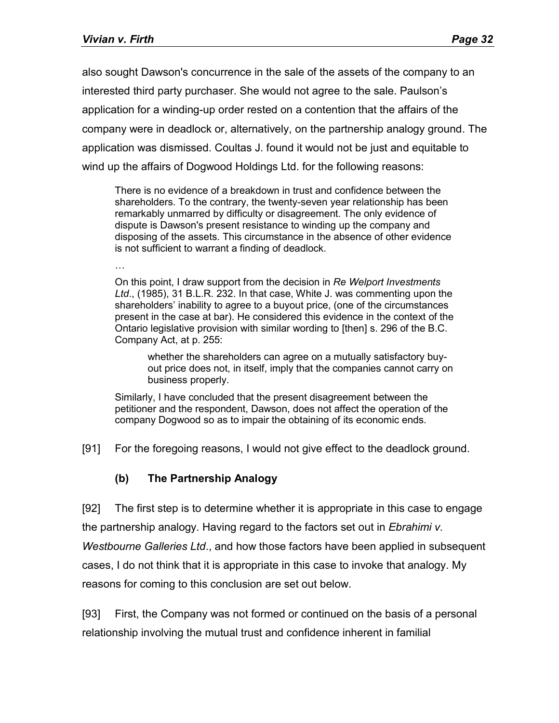also sought Dawson's concurrence in the sale of the assets of the company to an interested third party purchaser. She would not agree to the sale. Paulson's application for a winding-up order rested on a contention that the affairs of the company were in deadlock or, alternatively, on the partnership analogy ground. The application was dismissed. Coultas J. found it would not be just and equitable to wind up the affairs of Dogwood Holdings Ltd. for the following reasons:

There is no evidence of a breakdown in trust and confidence between the shareholders. To the contrary, the twenty-seven year relationship has been remarkably unmarred by difficulty or disagreement. The only evidence of dispute is Dawson's present resistance to winding up the company and disposing of the assets. This circumstance in the absence of other evidence is not sufficient to warrant a finding of deadlock.

…

On this point, I draw support from the decision in *Re Welport Investments Ltd*., (1985), 31 B.L.R. 232. In that case, White J. was commenting upon the shareholders' inability to agree to a buyout price, (one of the circumstances present in the case at bar). He considered this evidence in the context of the Ontario legislative provision with similar wording to [then] s. 296 of the B.C. Company Act, at p. 255:

whether the shareholders can agree on a mutually satisfactory buyout price does not, in itself, imply that the companies cannot carry on business properly.

Similarly, I have concluded that the present disagreement between the petitioner and the respondent, Dawson, does not affect the operation of the company Dogwood so as to impair the obtaining of its economic ends.

[91] For the foregoing reasons, I would not give effect to the deadlock ground.

#### **(b) The Partnership Analogy**

[92] The first step is to determine whether it is appropriate in this case to engage the partnership analogy. Having regard to the factors set out in *Ebrahimi v. Westbourne Galleries Ltd*., and how those factors have been applied in subsequent cases, I do not think that it is appropriate in this case to invoke that analogy. My reasons for coming to this conclusion are set out below.

[93] First, the Company was not formed or continued on the basis of a personal relationship involving the mutual trust and confidence inherent in familial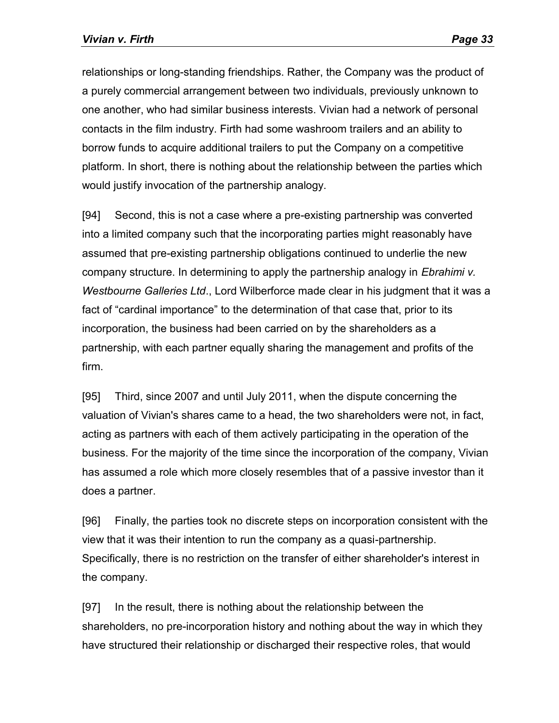relationships or long-standing friendships. Rather, the Company was the product of a purely commercial arrangement between two individuals, previously unknown to one another, who had similar business interests. Vivian had a network of personal contacts in the film industry. Firth had some washroom trailers and an ability to borrow funds to acquire additional trailers to put the Company on a competitive platform. In short, there is nothing about the relationship between the parties which would justify invocation of the partnership analogy.

[94] Second, this is not a case where a pre-existing partnership was converted into a limited company such that the incorporating parties might reasonably have assumed that pre-existing partnership obligations continued to underlie the new company structure. In determining to apply the partnership analogy in *Ebrahimi v. Westbourne Galleries Ltd*., Lord Wilberforce made clear in his judgment that it was a fact of "cardinal importance" to the determination of that case that, prior to its incorporation, the business had been carried on by the shareholders as a partnership, with each partner equally sharing the management and profits of the firm.

[95] Third, since 2007 and until July 2011, when the dispute concerning the valuation of Vivian's shares came to a head, the two shareholders were not, in fact, acting as partners with each of them actively participating in the operation of the business. For the majority of the time since the incorporation of the company, Vivian has assumed a role which more closely resembles that of a passive investor than it does a partner.

[96] Finally, the parties took no discrete steps on incorporation consistent with the view that it was their intention to run the company as a quasi-partnership. Specifically, there is no restriction on the transfer of either shareholder's interest in the company.

[97] In the result, there is nothing about the relationship between the shareholders, no pre-incorporation history and nothing about the way in which they have structured their relationship or discharged their respective roles, that would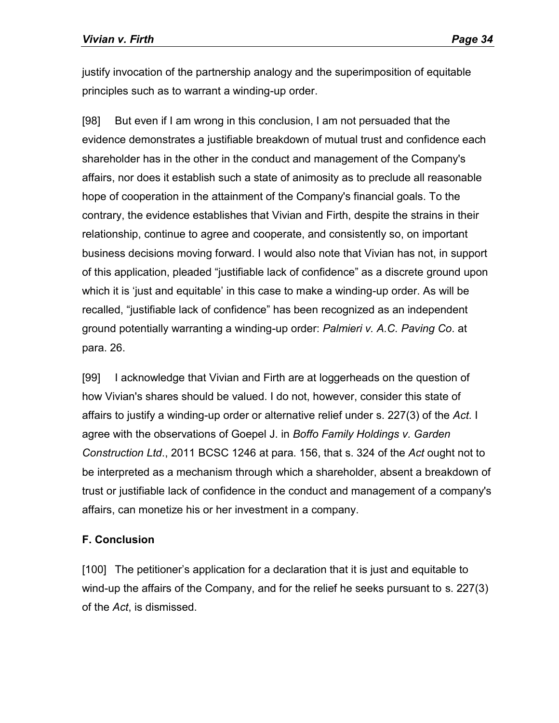justify invocation of the partnership analogy and the superimposition of equitable principles such as to warrant a winding-up order.

[98] But even if I am wrong in this conclusion, I am not persuaded that the evidence demonstrates a justifiable breakdown of mutual trust and confidence each shareholder has in the other in the conduct and management of the Company's affairs, nor does it establish such a state of animosity as to preclude all reasonable hope of cooperation in the attainment of the Company's financial goals. To the contrary, the evidence establishes that Vivian and Firth, despite the strains in their relationship, continue to agree and cooperate, and consistently so, on important business decisions moving forward. I would also note that Vivian has not, in support of this application, pleaded "justifiable lack of confidence" as a discrete ground upon which it is 'just and equitable' in this case to make a winding-up order. As will be recalled, "justifiable lack of confidence" has been recognized as an independent ground potentially warranting a winding-up order: *Palmieri v. A.C. Paving Co*. at para. 26.

[99] I acknowledge that Vivian and Firth are at loggerheads on the question of how Vivian's shares should be valued. I do not, however, consider this state of affairs to justify a winding-up order or alternative relief under s. 227(3) of the *Act*. I agree with the observations of Goepel J. in *Boffo Family Holdings v. Garden Construction Ltd*., 2011 BCSC 1246 at para. 156, that s. 324 of the *Act* ought not to be interpreted as a mechanism through which a shareholder, absent a breakdown of trust or justifiable lack of confidence in the conduct and management of a company's affairs, can monetize his or her investment in a company.

## **F. Conclusion**

[100] The petitioner's application for a declaration that it is just and equitable to wind-up the affairs of the Company, and for the relief he seeks pursuant to s. 227(3) of the *Act*, is dismissed.